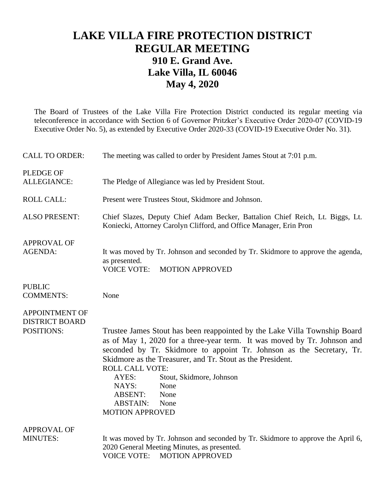## **LAKE VILLA FIRE PROTECTION DISTRICT REGULAR MEETING 910 E. Grand Ave. Lake Villa, IL 60046 May 4, 2020**

The Board of Trustees of the Lake Villa Fire Protection District conducted its regular meeting via teleconference in accordance with Section 6 of Governor Pritzker's Executive Order 2020-07 (COVID-19 Executive Order No. 5), as extended by Executive Order 2020-33 (COVID-19 Executive Order No. 31).

| <b>CALL TO ORDER:</b>                                        | The meeting was called to order by President James Stout at 7:01 p.m.                                                                                                                                                          |
|--------------------------------------------------------------|--------------------------------------------------------------------------------------------------------------------------------------------------------------------------------------------------------------------------------|
| <b>PLEDGE OF</b><br><b>ALLEGIANCE:</b>                       | The Pledge of Allegiance was led by President Stout.                                                                                                                                                                           |
| <b>ROLL CALL:</b>                                            | Present were Trustees Stout, Skidmore and Johnson.                                                                                                                                                                             |
| <b>ALSO PRESENT:</b>                                         | Chief Slazes, Deputy Chief Adam Becker, Battalion Chief Reich, Lt. Biggs, Lt.<br>Koniecki, Attorney Carolyn Clifford, and Office Manager, Erin Pron                                                                            |
| <b>APPROVAL OF</b><br><b>AGENDA:</b>                         | It was moved by Tr. Johnson and seconded by Tr. Skidmore to approve the agenda,<br>as presented.<br><b>VOICE VOTE:</b><br><b>MOTION APPROVED</b>                                                                               |
| <b>PUBLIC</b><br><b>COMMENTS:</b>                            | None                                                                                                                                                                                                                           |
| <b>APPOINTMENT OF</b><br><b>DISTRICT BOARD</b><br>POSITIONS: | Trustee James Stout has been reappointed by the Lake Villa Township Board<br>as of May 1, 2020 for a three-year term. It was moved by Tr. Johnson and<br>seconded by Tr. Skidmore to appoint Tr. Johnson as the Secretary, Tr. |
|                                                              | Skidmore as the Treasurer, and Tr. Stout as the President.<br><b>ROLL CALL VOTE:</b><br>Stout, Skidmore, Johnson<br>AYES:<br>None<br>NAYS:<br><b>ABSENT:</b><br>None<br><b>ABSTAIN:</b><br>None<br><b>MOTION APPROVED</b>      |
| <b>APPROVAL OF</b>                                           |                                                                                                                                                                                                                                |
| <b>MINUTES:</b>                                              | It was moved by Tr. Johnson and seconded by Tr. Skidmore to approve the April 6,<br>2020 General Meeting Minutes, as presented.<br><b>VOICE VOTE:</b><br><b>MOTION APPROVED</b>                                                |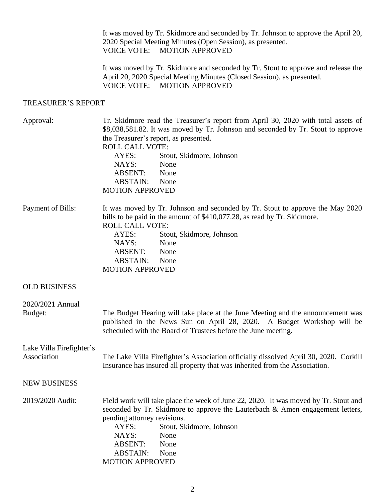It was moved by Tr. Skidmore and seconded by Tr. Johnson to approve the April 20, 2020 Special Meeting Minutes (Open Session), as presented. VOICE VOTE: MOTION APPROVED

It was moved by Tr. Skidmore and seconded by Tr. Stout to approve and release the April 20, 2020 Special Meeting Minutes (Closed Session), as presented. VOICE VOTE: MOTION APPROVED

## TREASURER'S REPORT

| Approval:                               | Tr. Skidmore read the Treasurer's report from April 30, 2020 with total assets of<br>\$8,038,581.82. It was moved by Tr. Johnson and seconded by Tr. Stout to approve<br>the Treasurer's report, as presented.<br><b>ROLL CALL VOTE:</b>                                                               |
|-----------------------------------------|--------------------------------------------------------------------------------------------------------------------------------------------------------------------------------------------------------------------------------------------------------------------------------------------------------|
|                                         | Stout, Skidmore, Johnson<br>AYES:                                                                                                                                                                                                                                                                      |
|                                         | None<br>NAYS:<br><b>ABSENT:</b><br>None                                                                                                                                                                                                                                                                |
|                                         | ABSTAIN:<br>None                                                                                                                                                                                                                                                                                       |
|                                         | <b>MOTION APPROVED</b>                                                                                                                                                                                                                                                                                 |
| Payment of Bills:                       | It was moved by Tr. Johnson and seconded by Tr. Stout to approve the May 2020<br>bills to be paid in the amount of \$410,077.28, as read by Tr. Skidmore.<br><b>ROLL CALL VOTE:</b>                                                                                                                    |
|                                         | AYES:<br>Stout, Skidmore, Johnson                                                                                                                                                                                                                                                                      |
|                                         | None<br>NAYS:                                                                                                                                                                                                                                                                                          |
|                                         | ABSENT:<br>None<br><b>ABSTAIN:</b><br>None                                                                                                                                                                                                                                                             |
|                                         | <b>MOTION APPROVED</b>                                                                                                                                                                                                                                                                                 |
| <b>OLD BUSINESS</b>                     |                                                                                                                                                                                                                                                                                                        |
| 2020/2021 Annual<br>Budget:             | The Budget Hearing will take place at the June Meeting and the announcement was<br>published in the News Sun on April 28, 2020. A Budget Workshop will be<br>scheduled with the Board of Trustees before the June meeting.                                                                             |
|                                         |                                                                                                                                                                                                                                                                                                        |
| Lake Villa Firefighter's<br>Association | The Lake Villa Firefighter's Association officially dissolved April 30, 2020. Corkill<br>Insurance has insured all property that was inherited from the Association.                                                                                                                                   |
| <b>NEW BUSINESS</b>                     |                                                                                                                                                                                                                                                                                                        |
| 2019/2020 Audit:                        | Field work will take place the week of June 22, 2020. It was moved by Tr. Stout and<br>seconded by Tr. Skidmore to approve the Lauterbach & Amen engagement letters,<br>pending attorney revisions.<br>AYES:<br>Stout, Skidmore, Johnson<br>NAYS:<br>None<br><b>ABSENT:</b><br>None<br><b>ABSTAIN:</b> |
|                                         | None<br><b>MOTION APPROVED</b>                                                                                                                                                                                                                                                                         |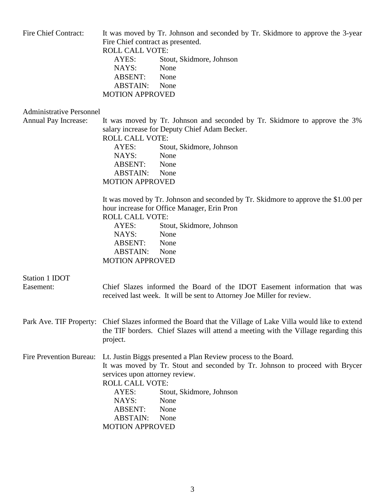| Fire Chief Contract:               | It was moved by Tr. Johnson and seconded by Tr. Skidmore to approve the 3-year<br>Fire Chief contract as presented.<br><b>ROLL CALL VOTE:</b><br>AYES:<br>Stout, Skidmore, Johnson<br>NAYS:<br>None<br>ABSENT:<br>None<br><b>ABSTAIN:</b><br>None<br><b>MOTION APPROVED</b>                                                                                                                                                                                                                    |
|------------------------------------|------------------------------------------------------------------------------------------------------------------------------------------------------------------------------------------------------------------------------------------------------------------------------------------------------------------------------------------------------------------------------------------------------------------------------------------------------------------------------------------------|
| <b>Administrative Personnel</b>    |                                                                                                                                                                                                                                                                                                                                                                                                                                                                                                |
| Annual Pay Increase:               | It was moved by Tr. Johnson and seconded by Tr. Skidmore to approve the 3%<br>salary increase for Deputy Chief Adam Becker.<br><b>ROLL CALL VOTE:</b><br>Stout, Skidmore, Johnson<br>AYES:<br>NAYS:<br>None<br><b>ABSENT:</b><br>None<br><b>ABSTAIN:</b><br>None<br><b>MOTION APPROVED</b><br>It was moved by Tr. Johnson and seconded by Tr. Skidmore to approve the \$1.00 per<br>hour increase for Office Manager, Erin Pron<br><b>ROLL CALL VOTE:</b><br>AYES:<br>Stout, Skidmore, Johnson |
|                                    | NAYS:<br>None<br>ABSENT:<br>None<br>ABSTAIN:<br>None<br><b>MOTION APPROVED</b>                                                                                                                                                                                                                                                                                                                                                                                                                 |
| <b>Station 1 IDOT</b><br>Easement: | Chief Slazes informed the Board of the IDOT Easement information that was<br>received last week. It will be sent to Attorney Joe Miller for review.                                                                                                                                                                                                                                                                                                                                            |
| Park Ave. TIF Property:            | Chief Slazes informed the Board that the Village of Lake Villa would like to extend<br>the TIF borders. Chief Slazes will attend a meeting with the Village regarding this<br>project.                                                                                                                                                                                                                                                                                                         |
| Fire Prevention Bureau:            | Lt. Justin Biggs presented a Plan Review process to the Board.<br>It was moved by Tr. Stout and seconded by Tr. Johnson to proceed with Brycer<br>services upon attorney review.<br><b>ROLL CALL VOTE:</b><br>AYES:<br>Stout, Skidmore, Johnson<br>NAYS:<br>None<br><b>ABSENT:</b><br>None<br><b>ABSTAIN:</b><br>None<br><b>MOTION APPROVED</b>                                                                                                                                                |